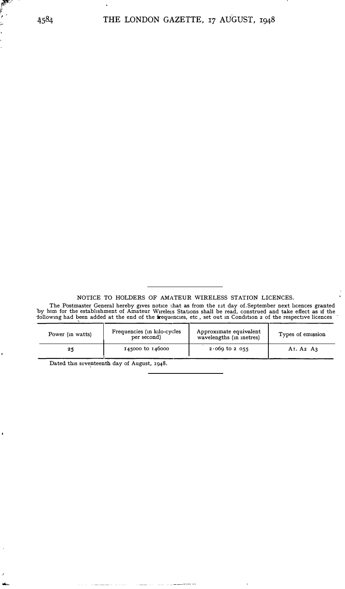NOTICE TO HOLDERS OF AMATEUR WIRELESS STATION LICENCES.

The Postmaster General hereby gives notice that as from the rst day of September next licences granted<br>by him for the establishment of Amateur Wireless Stations shall be read, construed and take effect as if the following had been added at the end of the frequencies, etc, set out in Condition 2 of the respective licences

| Power (in watts) | Frequencies (in kilo-cycles<br>per second) | Approximate equivalent<br>wavelengths (in inetres) | Types of emission                              |
|------------------|--------------------------------------------|----------------------------------------------------|------------------------------------------------|
| 25               | 145000 to 146000                           |                                                    | A <sub>1</sub> . A <sub>2</sub> A <sub>3</sub> |

 $\begin{array}{lllllllllll} \begin{array}{lllllllllllllll} \hline \textbf{1} & \textbf{1} & \textbf{1} & \textbf{1} & \textbf{1} & \textbf{1} & \textbf{1} & \textbf{1} & \textbf{1} & \textbf{1} & \textbf{1} & \textbf{1} & \textbf{1} & \textbf{1} & \textbf{1} & \textbf{1} & \textbf{1} & \textbf{1} & \textbf{1} & \textbf{1} & \textbf{1} & \textbf{1} & \textbf{1} & \textbf{1} & \textbf{1} & \textbf{1} & \textbf{1} & \text$ 

 $\overline{\phantom{a}}$ 

Dated this seventeenth day of August, 1948.

 $\bar{1}$  ,  $\bar{1}$ 

والتراويات

 $\ddot{\phantom{a}}$ 

E

į.  $\ddot{\phantom{0}}$ i. l,

 $\pmb{\cdot}$ 

 $\ddot{\bullet}$ 

 $\lambda$  $\frac{1}{2}$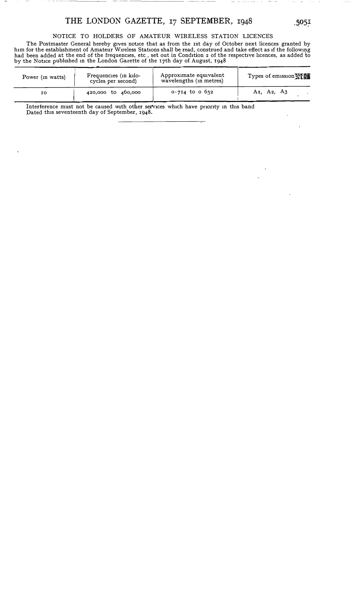## THE LONDON GAZETTE, 17 SEPTEMBER, 1948

NOTICE TO HOLDERS OF AMATEUR WIRELESS STATION LICENCES

The Postmaster General hereby gives notice that as from the 1st day of October next licences granted by him for the establishment of Amateur Wireless Stations shall be read, construed and take effect as if the following<br>had been added at the end of the frequencies, etc , set out in Condition 2 of the respective licences, as

| Power (in watts) | Frequencies (in kilo-<br>cycles per second) | Approximate equivalent<br>wavelengths (in metres) | Types of emission WE                             |
|------------------|---------------------------------------------|---------------------------------------------------|--------------------------------------------------|
| 10               | 420,000 to 460,000                          | $0.714$ to 0 652                                  | A <sub>I</sub> , A <sub>2</sub> , A <sub>3</sub> |

Interference must not be caused with other services which have priority in this band Dated this seventeenth day of September, 1948.

 $\ddot{\phantom{a}}$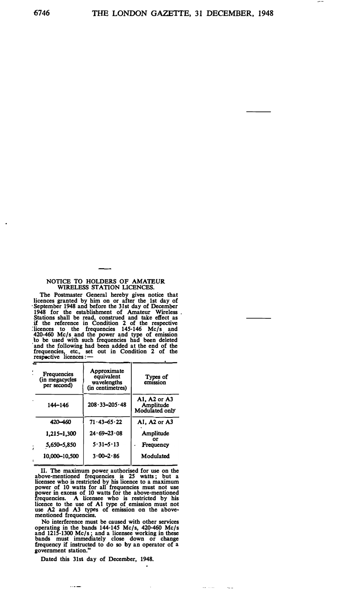## **NOTICE TO HOLDERS OF AMATEUR WIRELESS STATION LICENCES.**

**The Postmaster General hereby gives notice that**  licences granted by him on or after the 1st day of<br>September 1948 and before the 31st day of December<br>1948 for the establishment of Amateur Wireless<br>Stations shall be read, construed and take effect as<br>if the reference in **frequencies, etc., set out in Condition 2 of the respective licences : -**

| - 3 |                                              |                                                              |                                                    |
|-----|----------------------------------------------|--------------------------------------------------------------|----------------------------------------------------|
|     | Frequencies<br>(in megacycles<br>per second) | Approximate<br>equivalent<br>wavelengths<br>(in centimetres) | Types of<br>emission                               |
|     | 144-146                                      | $208 \cdot 33 - 205 \cdot 48$                                | A1, A2 or A3<br>Amplitude<br><b>Modulated only</b> |
|     | 420 - 460                                    | $71.43 - 65.22$                                              | Al. A2 or A3                                       |
|     | 1,215-1,300                                  | $24.69 - 23.08$                                              | Amplitude                                          |
|     | 5,650-5,850                                  | $5.31 - 5.13$                                                | or<br>Frequency                                    |
|     | 10.000-10.500                                | $3.00 - 2.86$                                                | Modulated                                          |
|     |                                              |                                                              |                                                    |

**II. The maximum power authorised for use on the above-mentioned frequencies is 25 watts ; but a**  licensee who is restricted by his licence to a maximum<br>power of 10 watts for all frequencies must not use<br>power in excess of 10 watts for the above-mentioned<br>frequencies. A licensee who is restricted by his<br>licence to the **mentioned frequencies.** 

**No interference must be caused with other services operating in the bands 144-145 Mc/s, 420-460 Mc/s and 1215-1300 Mc/s; and a licensee working in these bands must immediately close down or change frequency if instructed to do so by an operator of a government station."** 

Dated this 31st day of December, 1948.